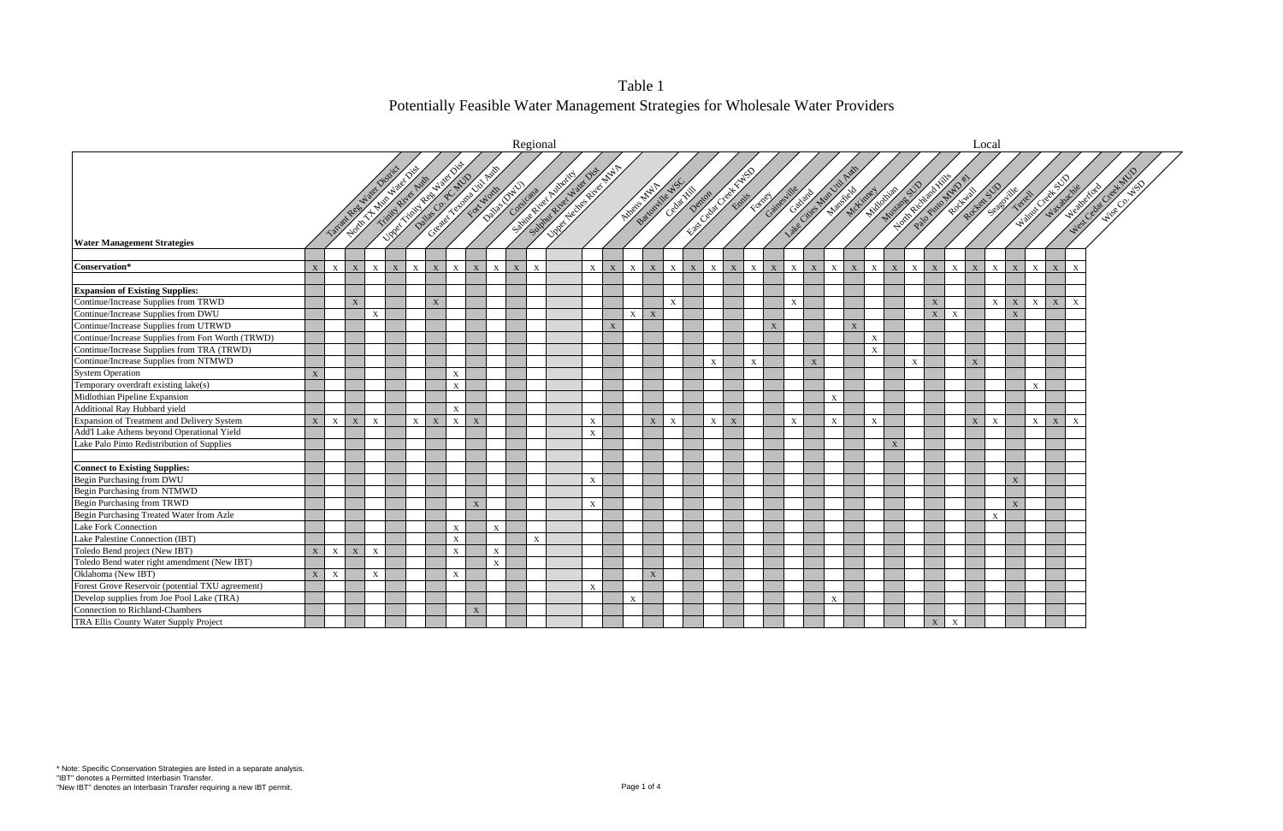

Table 1 Potentially Feasible Water Management Strategies for Wholesale Water Providers

|                                                   | Regional     |                           |                       |                           |   |                 |             |                                                                                 |                           |              |              |                  |                                                                          |              |             |                      |              |                           |             |                           |              |                           | Local                     |                           |              |             |              |                           |              |              |              |                              |                           |                            |                           |                         |                            |                      |
|---------------------------------------------------|--------------|---------------------------|-----------------------|---------------------------|---|-----------------|-------------|---------------------------------------------------------------------------------|---------------------------|--------------|--------------|------------------|--------------------------------------------------------------------------|--------------|-------------|----------------------|--------------|---------------------------|-------------|---------------------------|--------------|---------------------------|---------------------------|---------------------------|--------------|-------------|--------------|---------------------------|--------------|--------------|--------------|------------------------------|---------------------------|----------------------------|---------------------------|-------------------------|----------------------------|----------------------|
|                                                   |              | Tample 2009 Water         | North T. Handwest Dis |                           |   | Timid River Ave |             | <b>NORTHERN ROAD INSTITUTION</b><br>Created Assembly Property<br>Datas C. R. MD |                           |              |              |                  | <b>UNITED SECTION</b><br>Summy River Waer Dist<br>Sidney River Riversity |              |             |                      |              |                           |             |                           |              |                           | Catalogue Man Dit Avis    |                           |              |             |              |                           |              |              |              | Notification of Manufacturer |                           |                            |                           | <b>Address Strategy</b> |                            | West Celui Creek MUD |
|                                                   |              |                           |                       |                           |   |                 |             |                                                                                 |                           |              |              | Delhis Datu care |                                                                          |              |             | <b>ATORIC ATALIA</b> |              | Battonille #50<br>Centres |             |                           |              | Former                    | Gainesille                |                           |              | Mitimes     | Middeline    |                           | Mustange SUD |              |              | Rockway                      |                           | Rocket Subdition<br>Texter |                           |                         | Webstraketer<br>Warahachie |                      |
| <b>Water Management Strategies</b>                |              |                           |                       |                           |   |                 |             |                                                                                 |                           |              |              |                  |                                                                          |              |             |                      |              |                           |             |                           |              |                           |                           |                           |              |             |              |                           |              |              |              |                              |                           |                            |                           |                         |                            |                      |
|                                                   |              |                           |                       |                           |   |                 |             |                                                                                 |                           |              |              |                  |                                                                          |              |             |                      |              |                           |             |                           |              |                           |                           |                           |              |             |              |                           |              |              |              |                              |                           |                            |                           |                         |                            |                      |
| Conservation*                                     | $\mathbf{X}$ | $\mathbf{X}$              | X                     | $\mathbf{X}$              | X | $\mathbf{X}$    | X           | $\mathbf{X}$                                                                    | $\mathbf X$               | $\mathbf{X}$ | $\mathbf{X}$ | $\mathbf{X}$     |                                                                          | $X^+$        | X           | $\mathbf{X}$         | X            | X                         | $\mathbf X$ | X                         | X            | X                         | $\mathbf{X}$<br>X         | X                         | $\mathbf{x}$ | X           | $\mathbf{X}$ | X                         | $\mathbf{X}$ | $\mathbf{X}$ | $\mathbf{X}$ | $\mathbf{X}$                 | $\mathbf{X}$              | X                          | $\mathbf{X}$              | $\mathbf{X}$            | $\mathbf{x}$               |                      |
| <b>Expansion of Existing Supplies:</b>            |              |                           |                       |                           |   |                 |             |                                                                                 |                           |              |              |                  |                                                                          |              |             |                      |              |                           |             |                           |              |                           |                           |                           |              |             |              |                           |              |              |              |                              |                           |                            |                           |                         |                            |                      |
| Continue/Increase Supplies from TRWD              |              |                           | $\mathbf X$           |                           |   |                 | $\mathbf X$ |                                                                                 |                           |              |              |                  |                                                                          |              |             |                      |              | $\mathbf X$               |             |                           |              |                           | $\boldsymbol{\mathrm{X}}$ |                           |              |             |              |                           |              | $\mathbf X$  |              |                              | X                         | X                          | X                         | $\mathbf X$             | $\mathbf X$                |                      |
| Continue/Increase Supplies from DWU               |              |                           |                       | $\mathbf{X}$              |   |                 |             |                                                                                 |                           |              |              |                  |                                                                          |              |             |                      | $X \mid X$   |                           |             |                           |              |                           |                           |                           |              |             |              |                           |              | X            | $\mathbf{X}$ |                              |                           | X                          |                           |                         |                            |                      |
| Continue/Increase Supplies from UTRWD             |              |                           |                       |                           |   |                 |             |                                                                                 |                           |              |              |                  |                                                                          |              | $\mathbf X$ |                      |              |                           |             |                           |              |                           | $\mathbf X$               |                           |              | $\mathbf X$ |              |                           |              |              |              |                              |                           |                            |                           |                         |                            |                      |
| Continue/Increase Supplies from Fort Worth (TRWD) |              |                           |                       |                           |   |                 |             |                                                                                 |                           |              |              |                  |                                                                          |              |             |                      |              |                           |             |                           |              |                           |                           |                           |              |             | $\mathbf X$  |                           |              |              |              |                              |                           |                            |                           |                         |                            |                      |
| Continue/Increase Supplies from TRA (TRWD)        |              |                           |                       |                           |   |                 |             |                                                                                 |                           |              |              |                  |                                                                          |              |             |                      |              |                           |             |                           |              |                           |                           |                           |              |             | X            |                           |              |              |              |                              |                           |                            |                           |                         |                            |                      |
| Continue/Increase Supplies from NTMWD             |              |                           |                       |                           |   |                 |             |                                                                                 |                           |              |              |                  |                                                                          |              |             |                      |              |                           |             | $\boldsymbol{\mathrm{X}}$ |              | $\boldsymbol{\mathrm{X}}$ |                           | $\boldsymbol{\mathrm{X}}$ |              |             |              |                           | $\mathbf{X}$ |              |              | X                            |                           |                            |                           |                         |                            |                      |
| <b>System Operation</b>                           | X            |                           |                       |                           |   |                 |             | $\mathbf{X}$                                                                    |                           |              |              |                  |                                                                          |              |             |                      |              |                           |             |                           |              |                           |                           |                           |              |             |              |                           |              |              |              |                              |                           |                            |                           |                         |                            |                      |
| Temporary overdraft existing lake(s)              |              |                           |                       |                           |   |                 |             | $\mathbf{X}$                                                                    |                           |              |              |                  |                                                                          |              |             |                      |              |                           |             |                           |              |                           |                           |                           |              |             |              |                           |              |              |              |                              |                           |                            | $\boldsymbol{\mathrm{X}}$ |                         |                            |                      |
| Midlothian Pipeline Expansion                     |              |                           |                       |                           |   |                 |             |                                                                                 |                           |              |              |                  |                                                                          |              |             |                      |              |                           |             |                           |              |                           |                           |                           | $\mathbf X$  |             |              |                           |              |              |              |                              |                           |                            |                           |                         |                            |                      |
| Additional Ray Hubbard yield                      |              |                           |                       |                           |   |                 |             | $\mathbf{X}$                                                                    |                           |              |              |                  |                                                                          |              |             |                      |              |                           |             |                           |              |                           |                           |                           |              |             |              |                           |              |              |              |                              |                           |                            |                           |                         |                            |                      |
| Expansion of Treatment and Delivery System        | X            | $\mathbf{X}$              | $\overline{X}$        | $\boldsymbol{\mathrm{X}}$ |   | X               | $\mathbf X$ | $\mathbf X$                                                                     | $\boldsymbol{\mathrm{X}}$ |              |              |                  |                                                                          | $\mathbf X$  |             |                      | X            | $\mathbf{X}$              |             | X                         | $\mathbf{X}$ |                           | $\mathbf{X}$              |                           | $\mathbf{X}$ |             | $\mathbf{X}$ |                           |              |              |              | $\mathbf{X}$                 | $\boldsymbol{\mathrm{X}}$ |                            | $\mathbf{X}$              | $\mathbf X$             | $\mathbf{X}$               |                      |
| Add'l Lake Athens beyond Operational Yield        |              |                           |                       |                           |   |                 |             |                                                                                 |                           |              |              |                  |                                                                          | $\mathbf{x}$ |             |                      |              |                           |             |                           |              |                           |                           |                           |              |             |              |                           |              |              |              |                              |                           |                            |                           |                         |                            |                      |
| Lake Palo Pinto Redistribution of Supplies        |              |                           |                       |                           |   |                 |             |                                                                                 |                           |              |              |                  |                                                                          |              |             |                      |              |                           |             |                           |              |                           |                           |                           |              |             |              | $\boldsymbol{\mathrm{X}}$ |              |              |              |                              |                           |                            |                           |                         |                            |                      |
|                                                   |              |                           |                       |                           |   |                 |             |                                                                                 |                           |              |              |                  |                                                                          |              |             |                      |              |                           |             |                           |              |                           |                           |                           |              |             |              |                           |              |              |              |                              |                           |                            |                           |                         |                            |                      |
| <b>Connect to Existing Supplies:</b>              |              |                           |                       |                           |   |                 |             |                                                                                 |                           |              |              |                  |                                                                          |              |             |                      |              |                           |             |                           |              |                           |                           |                           |              |             |              |                           |              |              |              |                              |                           |                            |                           |                         |                            |                      |
| Begin Purchasing from DWU                         |              |                           |                       |                           |   |                 |             |                                                                                 |                           |              |              |                  |                                                                          | X            |             |                      |              |                           |             |                           |              |                           |                           |                           |              |             |              |                           |              |              |              |                              |                           | X                          |                           |                         |                            |                      |
| Begin Purchasing from NTMWD                       |              |                           |                       |                           |   |                 |             |                                                                                 |                           |              |              |                  |                                                                          |              |             |                      |              |                           |             |                           |              |                           |                           |                           |              |             |              |                           |              |              |              |                              |                           |                            |                           |                         |                            |                      |
| Begin Purchasing from TRWD                        |              |                           |                       |                           |   |                 |             |                                                                                 | $\mathbf{X}$              |              |              |                  |                                                                          | $\mathbf{X}$ |             |                      |              |                           |             |                           |              |                           |                           |                           |              |             |              |                           |              |              |              |                              |                           | $\mathbf{X}$               |                           |                         |                            |                      |
| Begin Purchasing Treated Water from Azle          |              |                           |                       |                           |   |                 |             |                                                                                 |                           |              |              |                  |                                                                          |              |             |                      |              |                           |             |                           |              |                           |                           |                           |              |             |              |                           |              |              |              |                              | $\mathbf{X}$              |                            |                           |                         |                            |                      |
| <b>Lake Fork Connection</b>                       |              |                           |                       |                           |   |                 |             | $\mathbf X$                                                                     |                           | $\mathbf{X}$ |              |                  |                                                                          |              |             |                      |              |                           |             |                           |              |                           |                           |                           |              |             |              |                           |              |              |              |                              |                           |                            |                           |                         |                            |                      |
| Lake Palestine Connection (IBT)                   |              |                           |                       |                           |   |                 |             | $\mathbf{X}$                                                                    |                           |              |              | $\mathbf{X}$     |                                                                          |              |             |                      |              |                           |             |                           |              |                           |                           |                           |              |             |              |                           |              |              |              |                              |                           |                            |                           |                         |                            |                      |
| Toledo Bend project (New IBT)                     | X            | $\mathbf{X}$              | X                     | $\mathbf{X}$              |   |                 |             | $\mathbf{X}$                                                                    |                           | $\mathbf{X}$ |              |                  |                                                                          |              |             |                      |              |                           |             |                           |              |                           |                           |                           |              |             |              |                           |              |              |              |                              |                           |                            |                           |                         |                            |                      |
| Toledo Bend water right amendment (New IBT)       |              |                           |                       |                           |   |                 |             |                                                                                 |                           | $\mathbf{x}$ |              |                  |                                                                          |              |             |                      |              |                           |             |                           |              |                           |                           |                           |              |             |              |                           |              |              |              |                              |                           |                            |                           |                         |                            |                      |
| Oklahoma (New IBT)                                | X            | $\boldsymbol{\mathrm{X}}$ |                       | $\mathbf{X}$              |   |                 |             | $\mathbf{X}$                                                                    |                           |              |              |                  |                                                                          |              |             |                      | $\mathbf{X}$ |                           |             |                           |              |                           |                           |                           |              |             |              |                           |              |              |              |                              |                           |                            |                           |                         |                            |                      |
| Forest Grove Reservoir (potential TXU agreement)  |              |                           |                       |                           |   |                 |             |                                                                                 |                           |              |              |                  |                                                                          | $\mathbf X$  |             |                      |              |                           |             |                           |              |                           |                           |                           |              |             |              |                           |              |              |              |                              |                           |                            |                           |                         |                            |                      |
| Develop supplies from Joe Pool Lake (TRA)         |              |                           |                       |                           |   |                 |             |                                                                                 |                           |              |              |                  |                                                                          |              |             | $\mathbf{X}$         |              |                           |             |                           |              |                           |                           |                           | $\mathbf{X}$ |             |              |                           |              |              |              |                              |                           |                            |                           |                         |                            |                      |
| Connection to Richland-Chambers                   |              |                           |                       |                           |   |                 |             |                                                                                 | $\bold{X}$                |              |              |                  |                                                                          |              |             |                      |              |                           |             |                           |              |                           |                           |                           |              |             |              |                           |              |              |              |                              |                           |                            |                           |                         |                            |                      |
| TRA Ellis County Water Supply Project             |              |                           |                       |                           |   |                 |             |                                                                                 |                           |              |              |                  |                                                                          |              |             |                      |              |                           |             |                           |              |                           |                           |                           |              |             |              |                           |              | $\mathbf X$  | $\mathbf X$  |                              |                           |                            |                           |                         |                            |                      |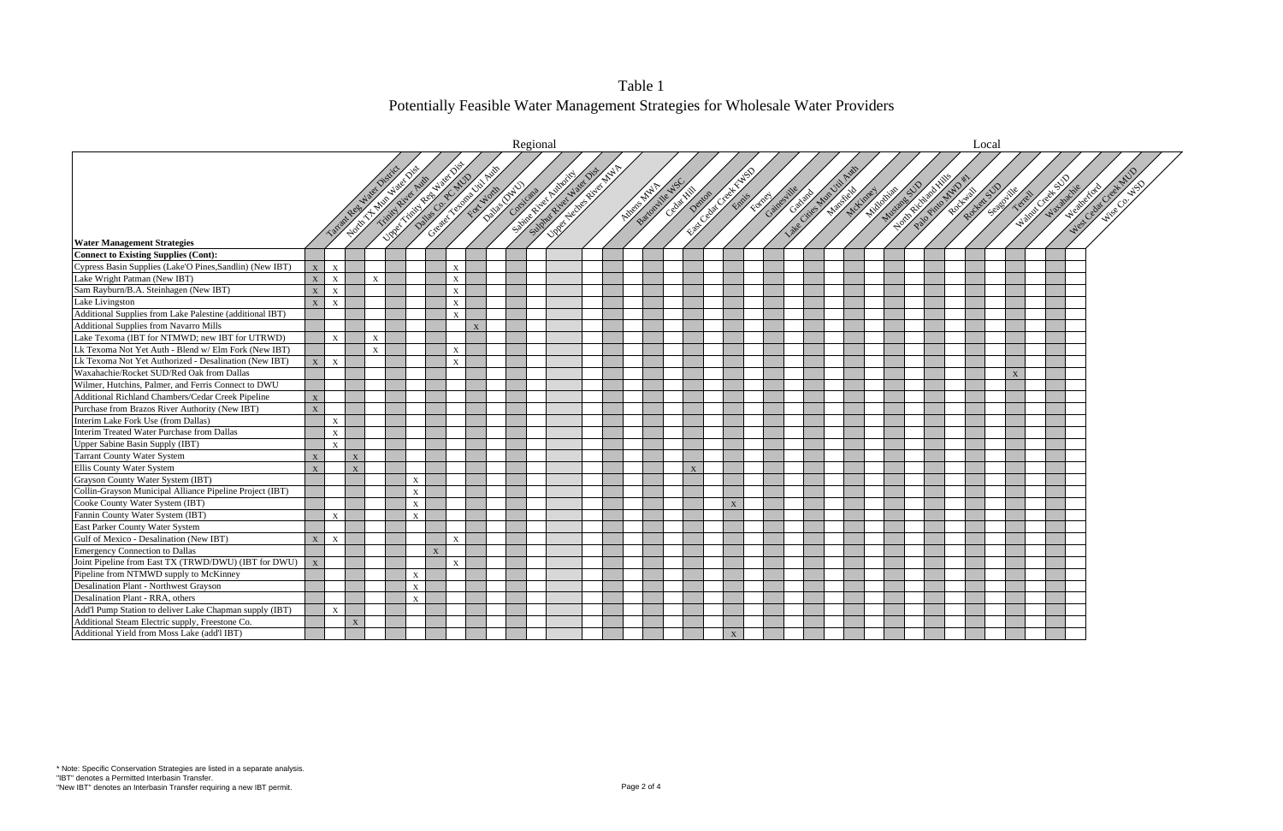

Table 1 Potentially Feasible Water Management Strategies for Wholesale Water Providers

|                                                          |              |                           |                 |              |                                                                                                 |   |              |             |                                                | Regional |                                                                                                    |  |                       |               |             |                |              |        |             |                        |                                     |             |               |                                                        | Local |   |                                   |                                  |
|----------------------------------------------------------|--------------|---------------------------|-----------------|--------------|-------------------------------------------------------------------------------------------------|---|--------------|-------------|------------------------------------------------|----------|----------------------------------------------------------------------------------------------------|--|-----------------------|---------------|-------------|----------------|--------------|--------|-------------|------------------------|-------------------------------------|-------------|---------------|--------------------------------------------------------|-------|---|-----------------------------------|----------------------------------|
|                                                          |              |                           | Target Resident |              | <b>DREAMER AND INSTITUTION</b><br>North Triple March 1918<br>Daties O.P. Way<br>Timid River Ave |   |              |             | Creative Assistant Assistant<br>Dillie Drivers |          | <b>University of Street Replane</b><br>Summer River Haler Dist<br><b>California Report Follows</b> |  | <b>Hitley Artists</b> | Battonille NS | Centre Hill |                |              | Former | Gainesville | Catalogue Man Dit Pain | <b>Nicolasian Report</b><br>McCimes | Mustane SUD | Home children | Palo Pinto MWD **<br>Rockett Strategy Asher<br>Rockwal |       |   | Assistant Resident<br>Wat drachie | West Cedar Creek MVD<br>Newchoto |
|                                                          |              |                           |                 |              |                                                                                                 |   |              |             |                                                |          |                                                                                                    |  |                       |               |             |                |              |        |             |                        |                                     |             |               |                                                        |       |   |                                   |                                  |
| <b>Water Management Strategies</b>                       |              |                           |                 |              |                                                                                                 |   |              |             |                                                |          |                                                                                                    |  |                       |               |             |                |              |        |             |                        |                                     |             |               |                                                        |       |   |                                   |                                  |
| <b>Connect to Existing Supplies (Cont):</b>              |              |                           |                 |              |                                                                                                 |   |              |             |                                                |          |                                                                                                    |  |                       |               |             |                |              |        |             |                        |                                     |             |               |                                                        |       |   |                                   |                                  |
| Cypress Basin Supplies (Lake'O Pines, Sandlin) (New IBT) | $\mathbf X$  | X                         |                 |              |                                                                                                 |   | $\mathbf X$  |             |                                                |          |                                                                                                    |  |                       |               |             |                |              |        |             |                        |                                     |             |               |                                                        |       |   |                                   |                                  |
| Lake Wright Patman (New IBT)                             | $\mathbf X$  | $\mathbf X$               |                 | $\mathbf{x}$ |                                                                                                 |   | $\mathbf X$  |             |                                                |          |                                                                                                    |  |                       |               |             |                |              |        |             |                        |                                     |             |               |                                                        |       |   |                                   |                                  |
| Sam Rayburn/B.A. Steinhagen (New IBT)                    | $\mathbf X$  | $\mathbf{X}$              |                 |              |                                                                                                 |   | $\mathbf{X}$ |             |                                                |          |                                                                                                    |  |                       |               |             |                |              |        |             |                        |                                     |             |               |                                                        |       |   |                                   |                                  |
| Lake Livingston                                          | $\mathbf X$  | $\mathbf{X}$              |                 |              |                                                                                                 |   | $\mathbf X$  |             |                                                |          |                                                                                                    |  |                       |               |             |                |              |        |             |                        |                                     |             |               |                                                        |       |   |                                   |                                  |
| Additional Supplies from Lake Palestine (additional IBT) |              |                           |                 |              |                                                                                                 |   | $\mathbf{x}$ |             |                                                |          |                                                                                                    |  |                       |               |             |                |              |        |             |                        |                                     |             |               |                                                        |       |   |                                   |                                  |
| <b>Additional Supplies from Navarro Mills</b>            |              |                           |                 |              |                                                                                                 |   |              | $\mathbf X$ |                                                |          |                                                                                                    |  |                       |               |             |                |              |        |             |                        |                                     |             |               |                                                        |       |   |                                   |                                  |
| Lake Texoma (IBT for NTMWD; new IBT for UTRWD)           |              | $\mathbf{X}$              |                 | $\mathbf{X}$ |                                                                                                 |   |              |             |                                                |          |                                                                                                    |  |                       |               |             |                |              |        |             |                        |                                     |             |               |                                                        |       |   |                                   |                                  |
| Lk Texoma Not Yet Auth - Blend w/ Elm Fork (New IBT)     |              |                           |                 | $\mathbf X$  |                                                                                                 |   | $\mathbf X$  |             |                                                |          |                                                                                                    |  |                       |               |             |                |              |        |             |                        |                                     |             |               |                                                        |       |   |                                   |                                  |
| Lk Texoma Not Yet Authorized - Desalination (New IBT)    | X            | $\boldsymbol{\mathrm{X}}$ |                 |              |                                                                                                 |   | $\mathbf X$  |             |                                                |          |                                                                                                    |  |                       |               |             |                |              |        |             |                        |                                     |             |               |                                                        |       |   |                                   |                                  |
| Waxahachie/Rocket SUD/Red Oak from Dallas                |              |                           |                 |              |                                                                                                 |   |              |             |                                                |          |                                                                                                    |  |                       |               |             |                |              |        |             |                        |                                     |             |               |                                                        |       | X |                                   |                                  |
| Wilmer, Hutchins, Palmer, and Ferris Connect to DWU      |              |                           |                 |              |                                                                                                 |   |              |             |                                                |          |                                                                                                    |  |                       |               |             |                |              |        |             |                        |                                     |             |               |                                                        |       |   |                                   |                                  |
| Additional Richland Chambers/Cedar Creek Pipeline        | $\mathbf X$  |                           |                 |              |                                                                                                 |   |              |             |                                                |          |                                                                                                    |  |                       |               |             |                |              |        |             |                        |                                     |             |               |                                                        |       |   |                                   |                                  |
| Purchase from Brazos River Authority (New IBT)           | $\mathbf{X}$ |                           |                 |              |                                                                                                 |   |              |             |                                                |          |                                                                                                    |  |                       |               |             |                |              |        |             |                        |                                     |             |               |                                                        |       |   |                                   |                                  |
| Interim Lake Fork Use (from Dallas)                      |              | X                         |                 |              |                                                                                                 |   |              |             |                                                |          |                                                                                                    |  |                       |               |             |                |              |        |             |                        |                                     |             |               |                                                        |       |   |                                   |                                  |
| Interim Treated Water Purchase from Dallas               |              | X                         |                 |              |                                                                                                 |   |              |             |                                                |          |                                                                                                    |  |                       |               |             |                |              |        |             |                        |                                     |             |               |                                                        |       |   |                                   |                                  |
| Upper Sabine Basin Supply (IBT)                          |              | $\mathbf{X}$              |                 |              |                                                                                                 |   |              |             |                                                |          |                                                                                                    |  |                       |               |             |                |              |        |             |                        |                                     |             |               |                                                        |       |   |                                   |                                  |
| <b>Tarrant County Water System</b>                       | X            |                           | X               |              |                                                                                                 |   |              |             |                                                |          |                                                                                                    |  |                       |               |             |                |              |        |             |                        |                                     |             |               |                                                        |       |   |                                   |                                  |
| Ellis County Water System                                | $\mathbf X$  |                           | $\mathbf X$     |              |                                                                                                 |   |              |             |                                                |          |                                                                                                    |  |                       |               |             | $\overline{X}$ |              |        |             |                        |                                     |             |               |                                                        |       |   |                                   |                                  |
| Grayson County Water System (IBT)                        |              |                           |                 |              | X                                                                                               |   |              |             |                                                |          |                                                                                                    |  |                       |               |             |                |              |        |             |                        |                                     |             |               |                                                        |       |   |                                   |                                  |
| Collin-Grayson Municipal Alliance Pipeline Project (IBT) |              |                           |                 |              | $\mathbf X$                                                                                     |   |              |             |                                                |          |                                                                                                    |  |                       |               |             |                |              |        |             |                        |                                     |             |               |                                                        |       |   |                                   |                                  |
| Cooke County Water System (IBT)                          |              |                           |                 |              | $\mathbf{X}$                                                                                    |   |              |             |                                                |          |                                                                                                    |  |                       |               |             |                | X            |        |             |                        |                                     |             |               |                                                        |       |   |                                   |                                  |
| Fannin County Water System (IBT)                         |              | X                         |                 |              | $\mathbf X$                                                                                     |   |              |             |                                                |          |                                                                                                    |  |                       |               |             |                |              |        |             |                        |                                     |             |               |                                                        |       |   |                                   |                                  |
| East Parker County Water System                          |              |                           |                 |              |                                                                                                 |   |              |             |                                                |          |                                                                                                    |  |                       |               |             |                |              |        |             |                        |                                     |             |               |                                                        |       |   |                                   |                                  |
| Gulf of Mexico - Desalination (New IBT)                  | X            | $\boldsymbol{\mathrm{X}}$ |                 |              |                                                                                                 |   | $\mathbf X$  |             |                                                |          |                                                                                                    |  |                       |               |             |                |              |        |             |                        |                                     |             |               |                                                        |       |   |                                   |                                  |
| <b>Emergency Connection to Dallas</b>                    |              |                           |                 |              |                                                                                                 | X |              |             |                                                |          |                                                                                                    |  |                       |               |             |                |              |        |             |                        |                                     |             |               |                                                        |       |   |                                   |                                  |
| Joint Pipeline from East TX (TRWD/DWU) (IBT for DWU)     | $\mathbf{X}$ |                           |                 |              |                                                                                                 |   | $\mathbf X$  |             |                                                |          |                                                                                                    |  |                       |               |             |                |              |        |             |                        |                                     |             |               |                                                        |       |   |                                   |                                  |
| Pipeline from NTMWD supply to McKinney                   |              |                           |                 |              | X                                                                                               |   |              |             |                                                |          |                                                                                                    |  |                       |               |             |                |              |        |             |                        |                                     |             |               |                                                        |       |   |                                   |                                  |
| Desalination Plant - Northwest Grayson                   |              |                           |                 |              | $\mathbf X$                                                                                     |   |              |             |                                                |          |                                                                                                    |  |                       |               |             |                |              |        |             |                        |                                     |             |               |                                                        |       |   |                                   |                                  |
| Desalination Plant - RRA, others                         |              |                           |                 |              | X                                                                                               |   |              |             |                                                |          |                                                                                                    |  |                       |               |             |                |              |        |             |                        |                                     |             |               |                                                        |       |   |                                   |                                  |
| Add'l Pump Station to deliver Lake Chapman supply (IBT)  |              | X                         |                 |              |                                                                                                 |   |              |             |                                                |          |                                                                                                    |  |                       |               |             |                |              |        |             |                        |                                     |             |               |                                                        |       |   |                                   |                                  |
| Additional Steam Electric supply, Freestone Co.          |              |                           | $\mathbf X$     |              |                                                                                                 |   |              |             |                                                |          |                                                                                                    |  |                       |               |             |                |              |        |             |                        |                                     |             |               |                                                        |       |   |                                   |                                  |
| Additional Yield from Moss Lake (add'l IBT)              |              |                           |                 |              |                                                                                                 |   |              |             |                                                |          |                                                                                                    |  |                       |               |             |                | $\mathbf{X}$ |        |             |                        |                                     |             |               |                                                        |       |   |                                   |                                  |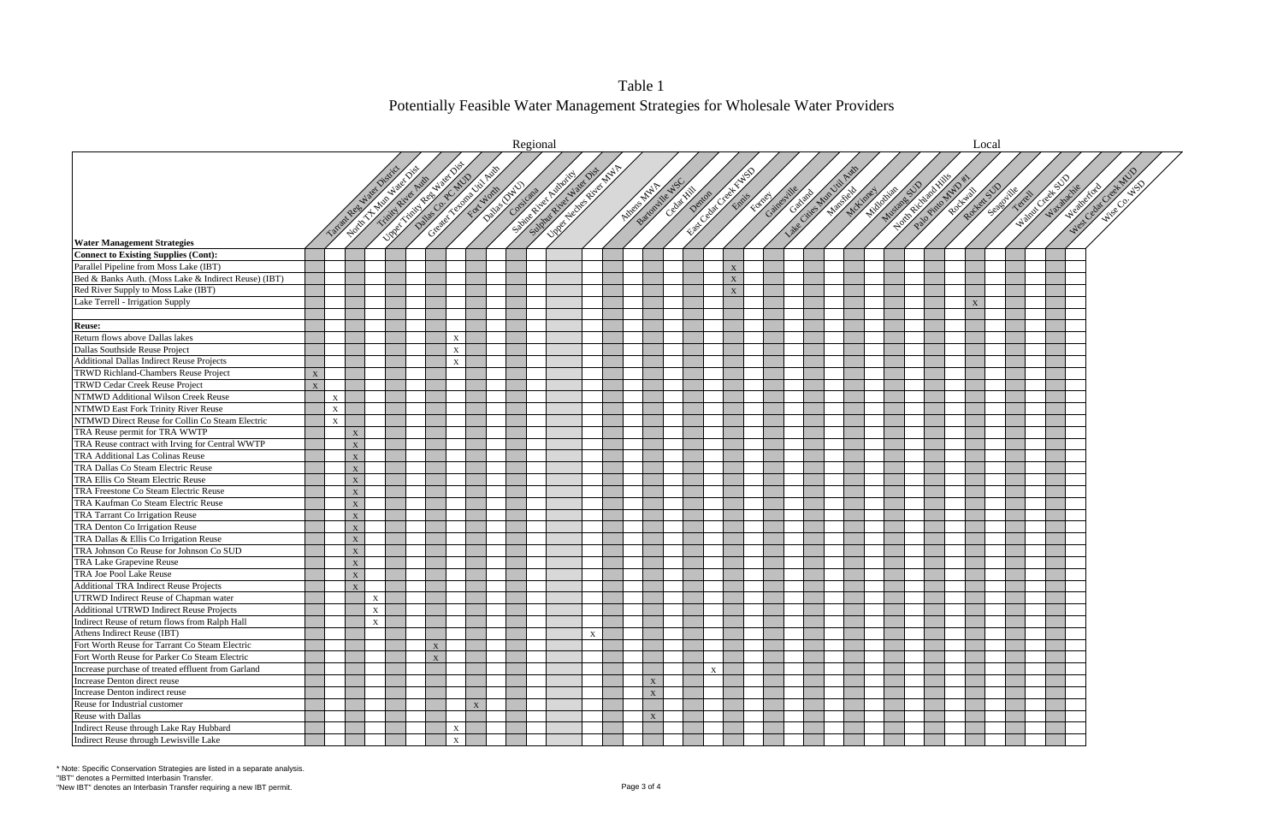Table 1 Potentially Feasible Water Management Strategies for Wholesale Water Providers

|                                                      |             |                           |                                   |                           |                                            |   |              |   | Regional |                                                                                                                 |             |                   |                  |   |             |                            |                    |                            |             |                                              |   | Local |  |                     |                      |
|------------------------------------------------------|-------------|---------------------------|-----------------------------------|---------------------------|--------------------------------------------|---|--------------|---|----------|-----------------------------------------------------------------------------------------------------------------|-------------|-------------------|------------------|---|-------------|----------------------------|--------------------|----------------------------|-------------|----------------------------------------------|---|-------|--|---------------------|----------------------|
|                                                      |             |                           |                                   |                           |                                            |   |              |   |          | Centre of the Centre of the Centre of the Centre of the Centre of the Centre of the Centre of the Centre of the |             |                   |                  |   |             |                            |                    |                            |             |                                              |   |       |  |                     |                      |
|                                                      |             |                           |                                   |                           | <b>CONTRACTOR DESCRIPTION AND RESPONSI</b> |   |              |   |          | University of Water                                                                                             |             |                   |                  |   |             | Center Device Center River |                    |                            |             |                                              |   |       |  |                     | West Cedar Creat MUD |
|                                                      |             |                           |                                   |                           | Timid River Ave                            |   |              |   |          |                                                                                                                 |             |                   | Bartowne W. W.S. |   |             |                            | Lake Cites Martial |                            |             | Hold River Children<br>Repair de Subdivistre |   |       |  | Walley Creek Marine |                      |
|                                                      |             |                           | North Marketing<br>Tarantee Natal |                           |                                            |   |              |   |          |                                                                                                                 |             | <b>ATOROLOGIA</b> |                  |   |             | Edite Meaths               |                    | Nicolaires<br>Manufactures | Mustane SUV | Palography                                   |   |       |  |                     | New Kote             |
|                                                      |             |                           |                                   |                           |                                            |   |              |   |          |                                                                                                                 |             |                   |                  |   |             |                            |                    |                            |             |                                              |   |       |  |                     |                      |
|                                                      |             |                           |                                   |                           |                                            |   |              |   |          |                                                                                                                 |             |                   |                  |   |             |                            |                    |                            |             |                                              |   |       |  |                     |                      |
|                                                      |             |                           |                                   |                           |                                            |   |              |   |          |                                                                                                                 |             |                   |                  |   |             |                            |                    |                            |             |                                              |   |       |  |                     |                      |
| <b>Water Management Strategies</b>                   |             |                           |                                   |                           |                                            |   |              |   |          |                                                                                                                 |             |                   |                  |   |             |                            |                    |                            |             |                                              |   |       |  |                     |                      |
| Connect to Existing Supplies (Cont):                 |             |                           |                                   |                           |                                            |   |              |   |          |                                                                                                                 |             |                   |                  |   |             |                            |                    |                            |             |                                              |   |       |  |                     |                      |
| Parallel Pipeline from Moss Lake (IBT)               |             |                           |                                   |                           |                                            |   |              |   |          |                                                                                                                 |             |                   |                  |   | X           |                            |                    |                            |             |                                              |   |       |  |                     |                      |
| Bed & Banks Auth. (Moss Lake & Indirect Reuse) (IBT) |             |                           |                                   |                           |                                            |   |              |   |          |                                                                                                                 |             |                   |                  |   | X           |                            |                    |                            |             |                                              |   |       |  |                     |                      |
| Red River Supply to Moss Lake (IBT)                  |             |                           |                                   |                           |                                            |   |              |   |          |                                                                                                                 |             |                   |                  |   | $\mathbf X$ |                            |                    |                            |             |                                              |   |       |  |                     |                      |
| Lake Terrell - Irrigation Supply                     |             |                           |                                   |                           |                                            |   |              |   |          |                                                                                                                 |             |                   |                  |   |             |                            |                    |                            |             |                                              | X |       |  |                     |                      |
|                                                      |             |                           |                                   |                           |                                            |   |              |   |          |                                                                                                                 |             |                   |                  |   |             |                            |                    |                            |             |                                              |   |       |  |                     |                      |
| <b>Reuse:</b>                                        |             |                           |                                   |                           |                                            |   |              |   |          |                                                                                                                 |             |                   |                  |   |             |                            |                    |                            |             |                                              |   |       |  |                     |                      |
| Return flows above Dallas lakes                      |             |                           |                                   |                           |                                            |   | X            |   |          |                                                                                                                 |             |                   |                  |   |             |                            |                    |                            |             |                                              |   |       |  |                     |                      |
| Dallas Southside Reuse Project                       |             |                           |                                   |                           |                                            |   | X            |   |          |                                                                                                                 |             |                   |                  |   |             |                            |                    |                            |             |                                              |   |       |  |                     |                      |
| <b>Additional Dallas Indirect Reuse Projects</b>     |             |                           |                                   |                           |                                            |   | X            |   |          |                                                                                                                 |             |                   |                  |   |             |                            |                    |                            |             |                                              |   |       |  |                     |                      |
| <b>TRWD Richland-Chambers Reuse Project</b>          | X           |                           |                                   |                           |                                            |   |              |   |          |                                                                                                                 |             |                   |                  |   |             |                            |                    |                            |             |                                              |   |       |  |                     |                      |
| <b>TRWD Cedar Creek Reuse Project</b>                | $\mathbf X$ |                           |                                   |                           |                                            |   |              |   |          |                                                                                                                 |             |                   |                  |   |             |                            |                    |                            |             |                                              |   |       |  |                     |                      |
| NTMWD Additional Wilson Creek Reuse                  |             | $\boldsymbol{\mathrm{X}}$ |                                   |                           |                                            |   |              |   |          |                                                                                                                 |             |                   |                  |   |             |                            |                    |                            |             |                                              |   |       |  |                     |                      |
| NTMWD East Fork Trinity River Reuse                  |             | $\boldsymbol{\mathrm{X}}$ |                                   |                           |                                            |   |              |   |          |                                                                                                                 |             |                   |                  |   |             |                            |                    |                            |             |                                              |   |       |  |                     |                      |
| NTMWD Direct Reuse for Collin Co Steam Electric      |             | $\boldsymbol{\mathrm{X}}$ |                                   |                           |                                            |   |              |   |          |                                                                                                                 |             |                   |                  |   |             |                            |                    |                            |             |                                              |   |       |  |                     |                      |
| TRA Reuse permit for TRA WWTP                        |             |                           | X                                 |                           |                                            |   |              |   |          |                                                                                                                 |             |                   |                  |   |             |                            |                    |                            |             |                                              |   |       |  |                     |                      |
| TRA Reuse contract with Irving for Central WWTP      |             |                           | $\mathbf X$                       |                           |                                            |   |              |   |          |                                                                                                                 |             |                   |                  |   |             |                            |                    |                            |             |                                              |   |       |  |                     |                      |
| TRA Additional Las Colinas Reuse                     |             |                           | $\mathbf X$                       |                           |                                            |   |              |   |          |                                                                                                                 |             |                   |                  |   |             |                            |                    |                            |             |                                              |   |       |  |                     |                      |
| TRA Dallas Co Steam Electric Reuse                   |             |                           | $\mathbf X$                       |                           |                                            |   |              |   |          |                                                                                                                 |             |                   |                  |   |             |                            |                    |                            |             |                                              |   |       |  |                     |                      |
| TRA Ellis Co Steam Electric Reuse                    |             |                           | $\mathbf X$                       |                           |                                            |   |              |   |          |                                                                                                                 |             |                   |                  |   |             |                            |                    |                            |             |                                              |   |       |  |                     |                      |
| TRA Freestone Co Steam Electric Reuse                |             |                           | $\mathbf X$                       |                           |                                            |   |              |   |          |                                                                                                                 |             |                   |                  |   |             |                            |                    |                            |             |                                              |   |       |  |                     |                      |
| TRA Kaufman Co Steam Electric Reuse                  |             |                           | $\mathbf X$                       |                           |                                            |   |              |   |          |                                                                                                                 |             |                   |                  |   |             |                            |                    |                            |             |                                              |   |       |  |                     |                      |
| TRA Tarrant Co Irrigation Reuse                      |             |                           | $\mathbf X$                       |                           |                                            |   |              |   |          |                                                                                                                 |             |                   |                  |   |             |                            |                    |                            |             |                                              |   |       |  |                     |                      |
| TRA Denton Co Irrigation Reuse                       |             |                           | $\mathbf X$                       |                           |                                            |   |              |   |          |                                                                                                                 |             |                   |                  |   |             |                            |                    |                            |             |                                              |   |       |  |                     |                      |
| TRA Dallas & Ellis Co Irrigation Reuse               |             |                           | X                                 |                           |                                            |   |              |   |          |                                                                                                                 |             |                   |                  |   |             |                            |                    |                            |             |                                              |   |       |  |                     |                      |
| TRA Johnson Co Reuse for Johnson Co SUD              |             |                           | $\mathbf X$                       |                           |                                            |   |              |   |          |                                                                                                                 |             |                   |                  |   |             |                            |                    |                            |             |                                              |   |       |  |                     |                      |
| TRA Lake Grapevine Reuse                             |             |                           | $\mathbf X$                       |                           |                                            |   |              |   |          |                                                                                                                 |             |                   |                  |   |             |                            |                    |                            |             |                                              |   |       |  |                     |                      |
| TRA Joe Pool Lake Reuse                              |             |                           | $\mathbf X$                       |                           |                                            |   |              |   |          |                                                                                                                 |             |                   |                  |   |             |                            |                    |                            |             |                                              |   |       |  |                     |                      |
| <b>Additional TRA Indirect Reuse Projects</b>        |             |                           | $\mathbf X$                       |                           |                                            |   |              |   |          |                                                                                                                 |             |                   |                  |   |             |                            |                    |                            |             |                                              |   |       |  |                     |                      |
| UTRWD Indirect Reuse of Chapman water                |             |                           |                                   | $\boldsymbol{\mathrm{X}}$ |                                            |   |              |   |          |                                                                                                                 |             |                   |                  |   |             |                            |                    |                            |             |                                              |   |       |  |                     |                      |
| Additional UTRWD Indirect Reuse Projects             |             |                           |                                   | X                         |                                            |   |              |   |          |                                                                                                                 |             |                   |                  |   |             |                            |                    |                            |             |                                              |   |       |  |                     |                      |
| Indirect Reuse of return flows from Ralph Hall       |             |                           |                                   | $\mathbf X$               |                                            |   |              |   |          |                                                                                                                 |             |                   |                  |   |             |                            |                    |                            |             |                                              |   |       |  |                     |                      |
| Athens Indirect Reuse (IBT)                          |             |                           |                                   |                           |                                            |   |              |   |          |                                                                                                                 | $\mathbf X$ |                   |                  |   |             |                            |                    |                            |             |                                              |   |       |  |                     |                      |
| Fort Worth Reuse for Tarrant Co Steam Electric       |             |                           |                                   |                           |                                            | X |              |   |          |                                                                                                                 |             |                   |                  |   |             |                            |                    |                            |             |                                              |   |       |  |                     |                      |
| Fort Worth Reuse for Parker Co Steam Electric        |             |                           |                                   |                           |                                            | X |              |   |          |                                                                                                                 |             |                   |                  |   |             |                            |                    |                            |             |                                              |   |       |  |                     |                      |
| Increase purchase of treated effluent from Garland   |             |                           |                                   |                           |                                            |   |              |   |          |                                                                                                                 |             |                   |                  | X |             |                            |                    |                            |             |                                              |   |       |  |                     |                      |
| Increase Denton direct reuse                         |             |                           |                                   |                           |                                            |   |              |   |          |                                                                                                                 |             |                   | $\mathbf X$      |   |             |                            |                    |                            |             |                                              |   |       |  |                     |                      |
| Increase Denton indirect reuse                       |             |                           |                                   |                           |                                            |   |              |   |          |                                                                                                                 |             |                   | X                |   |             |                            |                    |                            |             |                                              |   |       |  |                     |                      |
| Reuse for Industrial customer                        |             |                           |                                   |                           |                                            |   |              | X |          |                                                                                                                 |             |                   |                  |   |             |                            |                    |                            |             |                                              |   |       |  |                     |                      |
| Reuse with Dallas                                    |             |                           |                                   |                           |                                            |   |              |   |          |                                                                                                                 |             |                   | X                |   |             |                            |                    |                            |             |                                              |   |       |  |                     |                      |
| Indirect Reuse through Lake Ray Hubbard              |             |                           |                                   |                           |                                            |   | X            |   |          |                                                                                                                 |             |                   |                  |   |             |                            |                    |                            |             |                                              |   |       |  |                     |                      |
| Indirect Reuse through Lewisville Lake               |             |                           |                                   |                           |                                            |   | $\mathbf{x}$ |   |          |                                                                                                                 |             |                   |                  |   |             |                            |                    |                            |             |                                              |   |       |  |                     |                      |

\* Note: Specific Conservation Strategies are listed in a separate analysis. "IBT" denotes a Permitted Interbasin Transfer.

"New IBT" denotes an Interbasin Transfer requiring a new IBT permit. The state of the state of the state of the Page 3 of 4